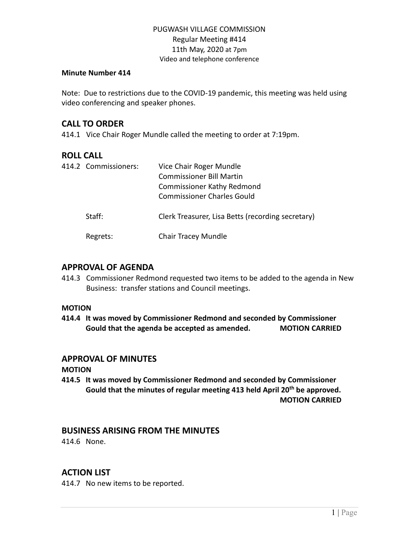### PUGWASH VILLAGE COMMISSION Regular Meeting #414 11th May, 2020 at 7pm Video and telephone conference

#### **Minute Number 414**

Note: Due to restrictions due to the COVID-19 pandemic, this meeting was held using video conferencing and speaker phones.

## **CALL TO ORDER**

414.1 Vice Chair Roger Mundle called the meeting to order at 7:19pm.

# **ROLL CALL**

| 414.2 Commissioners: | Vice Chair Roger Mundle<br><b>Commissioner Bill Martin</b><br><b>Commissioner Kathy Redmond</b><br><b>Commissioner Charles Gould</b> |
|----------------------|--------------------------------------------------------------------------------------------------------------------------------------|
| Staff:               | Clerk Treasurer, Lisa Betts (recording secretary)                                                                                    |
| Regrets:             | <b>Chair Tracey Mundle</b>                                                                                                           |

## **APPROVAL OF AGENDA**

414.3 Commissioner Redmond requested two items to be added to the agenda in New Business: transfer stations and Council meetings.

#### **MOTION**

**414.4 It was moved by Commissioner Redmond and seconded by Commissioner Gould that the agenda be accepted as amended. MOTION CARRIED**

### **APPROVAL OF MINUTES**

#### **MOTION**

**414.5 It was moved by Commissioner Redmond and seconded by Commissioner Gould that the minutes of regular meeting 413 held April 20th be approved. MOTION CARRIED**

### **BUSINESS ARISING FROM THE MINUTES**

414.6 None.

# **ACTION LIST**

414.7 No new items to be reported.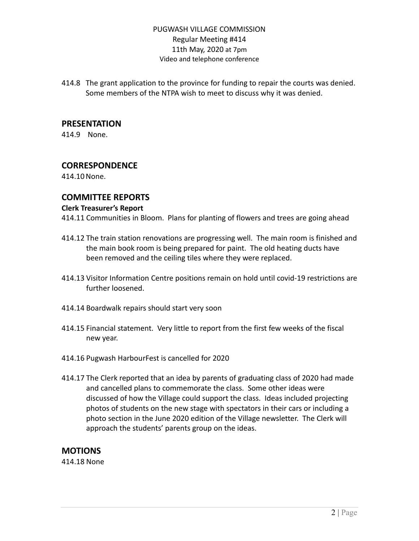### PUGWASH VILLAGE COMMISSION Regular Meeting #414 11th May, 2020 at 7pm Video and telephone conference

414.8 The grant application to the province for funding to repair the courts was denied. Some members of the NTPA wish to meet to discuss why it was denied.

#### **PRESENTATION**

414.9 None.

### **CORRESPONDENCE**

414.10None.

### **COMMITTEE REPORTS**

#### **Clerk Treasurer's Report**

414.11 Communities in Bloom. Plans for planting of flowers and trees are going ahead

- 414.12 The train station renovations are progressing well. The main room is finished and the main book room is being prepared for paint. The old heating ducts have been removed and the ceiling tiles where they were replaced.
- 414.13 Visitor Information Centre positions remain on hold until covid-19 restrictions are further loosened.
- 414.14 Boardwalk repairs should start very soon
- 414.15 Financial statement. Very little to report from the first few weeks of the fiscal new year.
- 414.16 Pugwash HarbourFest is cancelled for 2020
- 414.17 The Clerk reported that an idea by parents of graduating class of 2020 had made and cancelled plans to commemorate the class. Some other ideas were discussed of how the Village could support the class. Ideas included projecting photos of students on the new stage with spectators in their cars or including a photo section in the June 2020 edition of the Village newsletter. The Clerk will approach the students' parents group on the ideas.

### **MOTIONS**

414.18 None